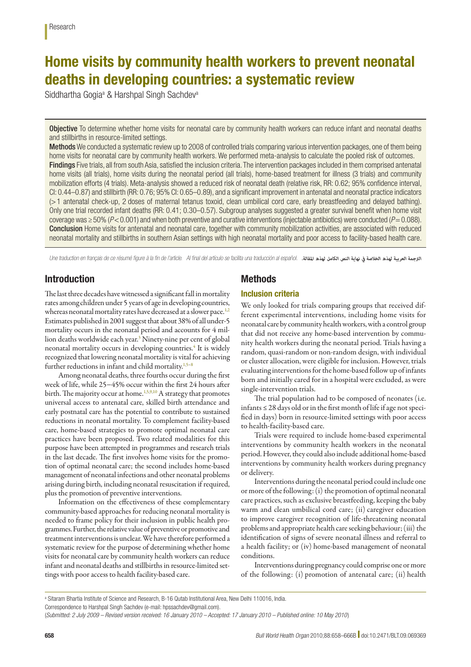# Home visits by community health workers to prevent neonatal deaths in developing countries: a systematic review

Siddhartha Gogia<sup>a</sup> & Harshpal Singh Sachdev<sup>a</sup>

**Objective** To determine whether home visits for neonatal care by community health workers can reduce infant and neonatal deaths and stillbirths in resource-limited settings.

Methods We conducted a systematic review up to 2008 of controlled trials comparing various intervention packages, one of them being home visits for neonatal care by community health workers. We performed meta-analysis to calculate the pooled risk of outcomes. Findings Five trials, all from south Asia, satisfied the inclusion criteria. The intervention packages included in them comprised antenatal home visits (all trials), home visits during the neonatal period (all trials), home-based treatment for illness (3 trials) and community mobilization efforts (4 trials). Meta-analysis showed a reduced risk of neonatal death (relative risk, RR: 0.62; 95% confidence interval, CI: 0.44–0.87) and stillbirth (RR: 0.76; 95% CI: 0.65–0.89), and a significant improvement in antenatal and neonatal practice indicators (>1 antenatal check-up, 2 doses of maternal tetanus toxoid, clean umbilical cord care, early breastfeeding and delayed bathing). Only one trial recorded infant deaths (RR: 0.41; 0.30–0.57). Subgroup analyses suggested a greater survival benefit when home visit coverage was  $\geq$  50% (*P* < 0.001) and when both preventive and curative interventions (injectable antibiotics) were conducted (*P* = 0.088). Conclusion Home visits for antenatal and neonatal care, together with community mobilization activities, are associated with reduced neonatal mortality and stillbirths in southern Asian settings with high neonatal mortality and poor access to facility-based health care.

Une traduction en français de ce résumé figure à la fin de l'article. Al final del artículo se facilita una traducción al español. *.املقالة لهذه الكامل النص نهاية يف الخالصة لهذه العربية الرتجمة*

# Introduction

The last three decades have witnessed a significant fall in mortality rates among children under 5 years of age in developing countries, whereas neonatal mortality rates have decreased at a slower pace.<sup>1,2</sup> Estimates published in 2001 suggest that about 38% of all under-5 mortality occurs in the neonatal period and accounts for 4 million deaths worldwide each year.<sup>3</sup> Ninety-nine per cent of global neonatal mortality occurs in developing countries.<sup>4</sup> It is widely recognized that lowering neonatal mortality is vital for achieving further reductions in infant and child mortality.<sup>1,5–8</sup>

Among neonatal deaths, three fourths occur during the first week of life, while 25−45% occur within the first 24 hours after birth. The majority occur at home.<sup>1,5,9,10</sup> A strategy that promotes universal access to antenatal care, skilled birth attendance and early postnatal care has the potential to contribute to sustained reductions in neonatal mortality. To complement facility-based care, home-based strategies to promote optimal neonatal care practices have been proposed. Two related modalities for this purpose have been attempted in programmes and research trials in the last decade. The first involves home visits for the promotion of optimal neonatal care; the second includes home-based management of neonatal infections and other neonatal problems arising during birth, including neonatal resuscitation if required, plus the promotion of preventive interventions.

Information on the effectiveness of these complementary community-based approaches for reducing neonatal mortality is needed to frame policy for their inclusion in public health programmes. Further, the relative value of preventive or promotive and treatment interventions is unclear. We have therefore performed a systematic review for the purpose of determining whether home visits for neonatal care by community health workers can reduce infant and neonatal deaths and stillbirths in resource-limited settings with poor access to health facility-based care.

# Methods

## Inclusion criteria

We only looked for trials comparing groups that received different experimental interventions, including home visits for neonatal care by community health workers, with a control group that did not receive any home-based intervention by community health workers during the neonatal period. Trials having a random, quasi-random or non-random design, with individual or cluster allocation, were eligible for inclusion. However, trials evaluating interventions for the home-based follow up of infants born and initially cared for in a hospital were excluded, as were single-intervention trials.

The trial population had to be composed of neonates (i.e. infants ≤ 28 days old or in the first month of life if age not specified in days) born in resource-limited settings with poor access to health-facility-based care.

Trials were required to include home-based experimental interventions by community health workers in the neonatal period. However, they could also include additional home-based interventions by community health workers during pregnancy or delivery.

Interventions during the neonatal period could include one or more of the following: (i) the promotion of optimal neonatal care practices, such as exclusive breastfeeding, keeping the baby warm and clean umbilical cord care; (ii) caregiver education to improve caregiver recognition of life-threatening neonatal problems and appropriate health care seeking behaviour; (iii) the identification of signs of severe neonatal illness and referral to a health facility; or (iv) home-based management of neonatal conditions.

Interventions during pregnancy could comprise one or more of the following: (i) promotion of antenatal care; (ii) health

a Sitaram Bhartia Institute of Science and Research, B-16 Qutab Institutional Area, New Delhi 110016, India.

Correspondence to Harshpal Singh Sachdev (e-mail: hpssachdev@gmail.com).

<sup>(</sup>*Submitted: 2 July 2009 – Revised version received: 16 January 2010 – Accepted: 17 January 2010 – Published online: 10 May 2010* )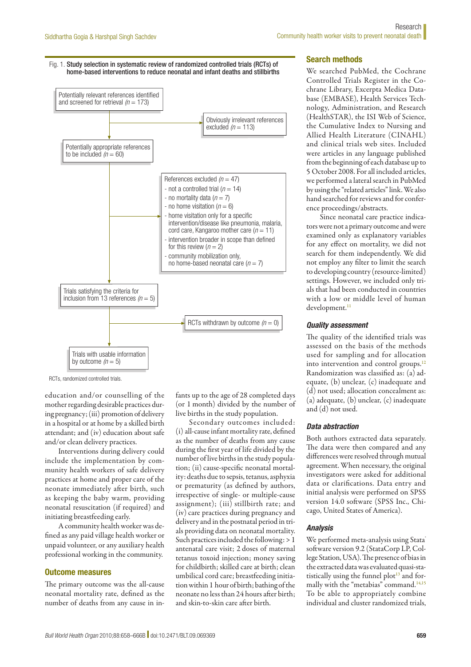Fig. 1. Study selection in systematic review of randomized controlled trials (RCTs) of home-based interventions to reduce neonatal and infant deaths and stillbirths



RCTs, randomized controlled trials.

education and/or counselling of the mother regarding desirable practices during pregnancy; (iii) promotion of delivery in a hospital or at home by a skilled birth attendant; and (iv) education about safe and/or clean delivery practices.

Interventions during delivery could include the implementation by community health workers of safe delivery practices at home and proper care of the neonate immediately after birth, such as keeping the baby warm, providing neonatal resuscitation (if required) and initiating breastfeeding early.

A community health worker was defined as any paid village health worker or unpaid volunteer, or any auxiliary health professional working in the community.

#### Outcome measures

The primary outcome was the all-cause neonatal mortality rate, defined as the number of deaths from any cause in infants up to the age of 28 completed days (or 1 month) divided by the number of live births in the study population.

Secondary outcomes included: (i)all-cause infant mortality rate, defined as the number of deaths from any cause during the first year of life divided by the number of live births in the study population; (ii) cause-specific neonatal mortality: deaths due to sepsis, tetanus, asphyxia or prematurity (as defined by authors, irrespective of single- or multiple-cause assignment); (iii) stillbirth rate; and (iv) care practices during pregnancy and delivery and in the postnatal period in trials providing data on neonatal mortality. Such practices included the following: > 1 antenatal care visit; 2 doses of maternal tetanus toxoid injection; money saving for childbirth; skilled care at birth; clean umbilical cord care; breastfeeding initiation within 1 hour of birth; bathing of the neonate no less than 24 hours after birth; and skin-to-skin care after birth.

## Search methods

We searched PubMed, the Cochrane Controlled Trials Register in the Cochrane Library, Excerpta Medica Database (EMBASE), Health Services Technology, Administration, and Research (HealthSTAR), the ISI Web of Science, the Cumulative Index to Nursing and Allied Health Literature (CINAHL) and clinical trials web sites. Included were articles in any language published from the beginning of each database up to 5 October 2008. For all included articles, we performed a lateral search in PubMed by using the "related articles" link. We also hand searched for reviews and for conference proceedings/abstracts.

Since neonatal care practice indicators were not a primary outcome and were examined only as explanatory variables for any effect on mortality, we did not search for them independently. We did not employ any filter to limit the search to developing country (resource-limited) settings. However, we included only trials that had been conducted in countries with a low or middle level of human development.<sup>11</sup>

#### *Quality assessment*

The quality of the identified trials was assessed on the basis of the methods used for sampling and for allocation into intervention and control groups.<sup>12</sup> Randomization was classified as: (a) adequate, (b) unclear, (c) inadequate and (d) not used; allocation concealment as: (a) adequate, (b) unclear, (c) inadequate and (d) not used.

#### *Data abstraction*

Both authors extracted data separately. The data were then compared and any differences were resolved through mutual agreement. When necessary, the original investigators were asked for additional data or clarifications. Data entry and initial analysis were performed on SPSS version 14.0 software (SPSS Inc., Chicago, United States of America).

#### *Analysis*

We performed meta-analysis using Stata<sup>®</sup> software version 9.2 (StataCorp LP, College Station, USA). The presence of bias in the extracted data was evaluated quasi-statistically using the funnel  $plot^{13}$  and formally with the "metabias" command.<sup>14,15</sup> To be able to appropriately combine individual and cluster randomized trials,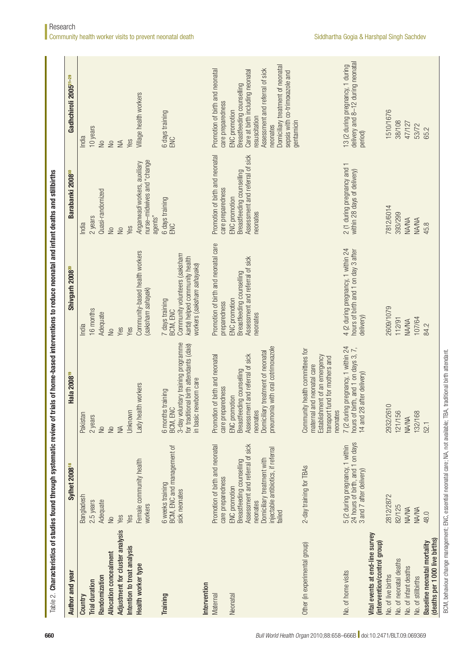| Author and year                                                 | Sylhet 2008 <sup>18</sup>                                                                                                                                                       | Hala 2008 <sup>19</sup>                                                                                                                                             | Shivgarh 2008 <sup>20</sup>                                                                                                  | Barabanki 2008 <sup>30</sup>                                                                     | Gadhchiroli 2005 <sup>21-29</sup>                                                                                                                                                                                                   |
|-----------------------------------------------------------------|---------------------------------------------------------------------------------------------------------------------------------------------------------------------------------|---------------------------------------------------------------------------------------------------------------------------------------------------------------------|------------------------------------------------------------------------------------------------------------------------------|--------------------------------------------------------------------------------------------------|-------------------------------------------------------------------------------------------------------------------------------------------------------------------------------------------------------------------------------------|
| Country                                                         | Bangladesh                                                                                                                                                                      | Pakistan                                                                                                                                                            | India                                                                                                                        | India                                                                                            | India                                                                                                                                                                                                                               |
| <b>Trial duration</b>                                           | 2.5 years                                                                                                                                                                       | 2 years                                                                                                                                                             | 16 months                                                                                                                    | 2 years                                                                                          | 10 years                                                                                                                                                                                                                            |
| Randomization                                                   | Adequate                                                                                                                                                                        | $\infty$                                                                                                                                                            | Adequate                                                                                                                     | Quasi-randomized                                                                                 | $\frac{1}{2}$                                                                                                                                                                                                                       |
| <b>Allocation concealment</b>                                   | $\geq$                                                                                                                                                                          | $\geq$                                                                                                                                                              | $\geq$                                                                                                                       | $\geq$                                                                                           | $\frac{1}{2}$                                                                                                                                                                                                                       |
| Adjustment for cluster analysis                                 | Yes                                                                                                                                                                             | $\lessgtr$                                                                                                                                                          | Yes                                                                                                                          | $\geq$                                                                                           | $\lessgtr$                                                                                                                                                                                                                          |
| Intention to treat analysis                                     | Yes                                                                                                                                                                             | Unknown                                                                                                                                                             | Yes                                                                                                                          | Yes                                                                                              | Yes                                                                                                                                                                                                                                 |
| Health worker type                                              | Female community health<br>workers                                                                                                                                              | Ith workers<br>Lady heal                                                                                                                                            | Community-based health workers<br>(saksham sahayak)                                                                          | nurse-midwives and "change<br>Anganwadi workers, auxiliary<br>agents"                            | Village health workers                                                                                                                                                                                                              |
| <b>Training</b>                                                 | BCM, ENC and management of<br>6 weeks training<br>sick neonates                                                                                                                 | 3-day voluntary training programme<br>for traditional birth attendants (dais)<br>in basic newborn care<br>6 months training<br>BCM, ENC                             | Community volunteers (saksham<br>karta) helped community health<br>workers (saksham sahayaks)<br>7 days training<br>BCM, ENC | 6 days training<br>ENC                                                                           | 6 days training<br>ENC                                                                                                                                                                                                              |
| Intervention                                                    |                                                                                                                                                                                 |                                                                                                                                                                     |                                                                                                                              |                                                                                                  |                                                                                                                                                                                                                                     |
| Matemal                                                         | Promotion of birth and neonatal<br>care preparedness                                                                                                                            | Promotion of birth and neonatal<br>care preparedness                                                                                                                | Promotion of birth and neonatal care<br>preparedness                                                                         | Promotion of birth and neonatal<br>care preparedness                                             | Promotion of birth and neonatal<br>care preparedness                                                                                                                                                                                |
| Neonatal                                                        | Assessment and referral of sick<br>injectable antibiotics, if referral<br>Domiciliary treatment with<br>Breastfeeding counselling<br><b>ENC</b> promotion<br>neonates<br>failed | pneumonia with oral cotrimoxazole<br>Domiciliary treatment of neonatal<br>Assessment and referral of sick<br>Breastfeeding counselling<br>ENC promotion<br>neonates | Assessment and referral of sick<br>Breastfeeding counselling<br>ENC promotion<br>neonates                                    | Assessment and referral of sick<br>Breastfeeding counselling<br><b>ENC</b> promotion<br>neonates | Domiciliary treatment of neonatal<br>Assessment and referral of sick<br>Care at birth including neonatal<br>sepsis with co-trimoxazole and<br>Breastfeeding counselling<br>ENC promotion<br>resuscitation<br>gentamicin<br>neonates |
| Other (in experimental group)                                   | 2-day training for TBAs                                                                                                                                                         | Community health committees for<br>Establishment of an emergency<br>transport fund for mothers and<br>maternal and neonatal care<br>neonates                        |                                                                                                                              |                                                                                                  |                                                                                                                                                                                                                                     |
| No. of home visits                                              | 24 hours of birth, and 1 on days<br>5 (2 during pregnancy, 1 within<br>3 and 7 after delivery)                                                                                  | 7 (2 during pregnancy, 1 within 24<br>hours of birth, and 1 on days 3, 7,<br>14 and 28 after delivery)                                                              | 4 (2 during pregnancy, 1 within 24<br>hours of birth and 1 on day 3 after<br>delivery)                                       | 2 (1 during pregnancy and 1<br>within 28 days of delivery)                                       | delivery and 8-12 during neonatal<br>13 (2 during pregnancy, 1 during<br>period)                                                                                                                                                    |
| Vital events at end-line survey<br>(intervention/control group) |                                                                                                                                                                                 |                                                                                                                                                                     |                                                                                                                              |                                                                                                  |                                                                                                                                                                                                                                     |
| No. of live births                                              | 2812/2872                                                                                                                                                                       | 2932/2610                                                                                                                                                           | 2609/1079                                                                                                                    | 7812/6014                                                                                        | 1510/1676                                                                                                                                                                                                                           |
| No. of neonatal deaths                                          | 82/125                                                                                                                                                                          | 121/156                                                                                                                                                             | 112/91                                                                                                                       | 393/299                                                                                          | 38/108                                                                                                                                                                                                                              |
| No. of infant deaths                                            | <b>NA/NA</b>                                                                                                                                                                    | <b>NA/NA</b>                                                                                                                                                        | <b>NA/NA</b>                                                                                                                 | NA/NA                                                                                            | 47/127                                                                                                                                                                                                                              |
| No. of stillbirths                                              | <b>NA/NA</b>                                                                                                                                                                    | 132/168                                                                                                                                                             | 107/64                                                                                                                       | <b>NA/NA</b>                                                                                     | 53/72                                                                                                                                                                                                                               |
| (deaths per 1000 live births)<br>Baseline neonatal mortality    | 48.0                                                                                                                                                                            | 52.1                                                                                                                                                                | 84.2                                                                                                                         | 45.8                                                                                             | 65.2                                                                                                                                                                                                                                |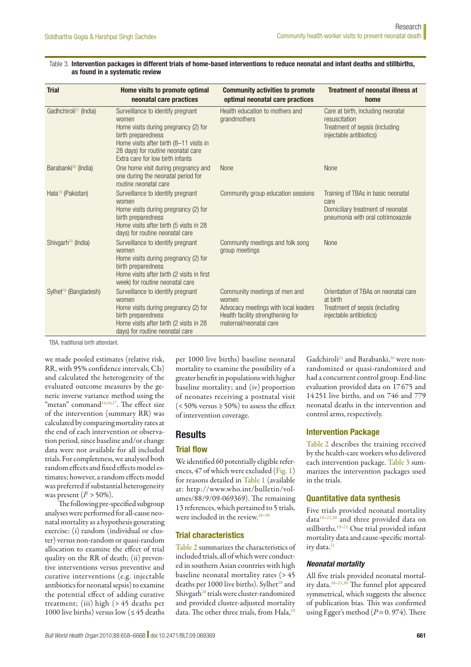#### Table 3. Intervention packages in different trials of home-based interventions to reduce neonatal and infant deaths and stillbirths, as found in a systematic review

| <b>Trial</b>                      | Home visits to promote optimal<br>neonatal care practices                                                                                                                                                                     | <b>Community activities to promote</b><br>optimal neonatal care practices                                                                     | <b>Treatment of neonatal illness at</b><br>home                                                                      |
|-----------------------------------|-------------------------------------------------------------------------------------------------------------------------------------------------------------------------------------------------------------------------------|-----------------------------------------------------------------------------------------------------------------------------------------------|----------------------------------------------------------------------------------------------------------------------|
| Gadhchiroli <sup>21</sup> (India) | Surveillance to identify pregnant<br>women<br>Home visits during pregnancy (2) for<br>birth preparedness<br>Home visits after birth (8-11 visits in<br>28 days) for routine neonatal care<br>Extra care for low birth infants | Health education to mothers and<br>grandmothers                                                                                               | Care at birth, including neonatal<br>resuscitation<br>Treatment of sepsis (including<br>injectable antibiotics)      |
| Barabanki <sup>30</sup> (India)   | One home visit during pregnancy and<br>one during the neonatal period for<br>routine neonatal care                                                                                                                            | <b>None</b>                                                                                                                                   | None                                                                                                                 |
| Hala <sup>19</sup> (Pakistan)     | Surveillance to identify pregnant<br>women<br>Home visits during pregnancy (2) for<br>birth preparedness<br>Home visits after birth (5 visits in 28<br>days) for routine neonatal care                                        | Community group education sessions                                                                                                            | Training of TBAs in basic neonatal<br>care<br>Domiciliary treatment of neonatal<br>pneumonia with oral cotrimoxazole |
| Shivgarh <sup>20</sup> (India)    | Surveillance to identify pregnant<br>women<br>Home visits during pregnancy (2) for<br>birth preparedness<br>Home visits after birth (2 visits in first<br>week) for routine neonatal care                                     | Community meetings and folk song<br>group meetings                                                                                            | None                                                                                                                 |
| Sylhet <sup>18</sup> (Bangladesh) | Surveillance to identify pregnant<br>women<br>Home visits during pregnancy (2) for<br>birth preparedness<br>Home visits after birth (2 visits in 28<br>days) for routine neonatal care                                        | Community meetings of men and<br>women<br>Advocacy meetings with local leaders<br>Health facility strengthening for<br>maternal/neonatal care | Orientation of TBAs on neonatal care<br>at birth<br>Treatment of sepsis (including<br>injectable antibiotics)        |

TBA, traditional birth attendant.

we made pooled estimates (relative risk, RR, with 95% confidence intervals, CIs) and calculated the heterogeneity of the evaluated outcome measures by the generic inverse variance method using the "metan" command $14,16,17$ . The effect size of the intervention (summary RR) was calculated by comparing mortality rates at the end of each intervention or observation period, since baseline and/or change data were not available for all included trials. For completeness, we analysed both random effects and fixed effects model estimates; however, a random effects model was preferred if substantial heterogeneity was present (*I*<sup>2</sup> > 50%).

The following pre-specified subgroup analyses were performed for all-cause neonatal mortality as a hypothesis generating exercise: (i) random (individual or cluster) versus non-random or quasi-random allocation to examine the effect of trial quality on the RR of death; (ii) preventive interventions versus preventive and curative interventions (e.g. injectable antibiotics for neonatal sepsis) to examine the potential effect of adding curative treatment; (iii) high (> 45 deaths per 1000 live births) versus low ( $\leq$  45 deaths

per 1000 live births) baseline neonatal mortality to examine the possibility of a greater benefit in populations with higher baseline mortality; and (iv) proportion of neonates receiving a postnatal visit  $(< 50\%$  versus  $\geq 50\%)$  to assess the effect of intervention coverage.

## **Results**

## Trial flow

We identified 60 potentially eligible references, 47 of which were excluded (Fig. 1) for reasons detailed in Table 1 (available at: [http://www.who.int/bulletin/vol](http://www.who.int/bulletin/volumes/88/9/09-069369)[umes/88/9/09-069369](http://www.who.int/bulletin/volumes/88/9/09-069369)). The remaining 13 references, which pertained to 5 trials, were included in the review.<sup>18-30</sup>

## Trial characteristics

Table 2 summarizes the characteristics of included trials, all of which were conducted in southern Asian countries with high baseline neonatal mortality rates (> 45 deaths per 1000 live births). Sylhet<sup>18</sup> and Shivgarh<sup>20</sup> trials were cluster-randomized and provided cluster-adjusted mortality data. The other three trials, from Hala,<sup>19</sup>

Gadchiroli<sup>21</sup> and Barabanki,<sup>30</sup> were nonrandomized or quasi-randomized and had a concurrent control group. End-line evaluation provided data on 17 675 and 14 251 live births, and on 746 and 779 neonatal deaths in the intervention and control arms, respectively.

#### Intervention Package

Table 2 describes the training received by the health-care workers who delivered each intervention package. Table 3 summarizes the intervention packages used in the trials.

#### Quantitative data synthesis

Five trials provided neonatal mortality data18–21,30 and three provided data on stillbirths.<sup>19-21</sup> One trial provided infant mortality data and cause-specific mortality data.<sup>21</sup>

#### *Neonatal mortality*

All five trials provided neonatal mortality data.<sup>18-21,30</sup> The funnel plot appeared symmetrical, which suggests the absence of publication bias. This was confirmed using Egger's method  $(P = 0.974)$ . There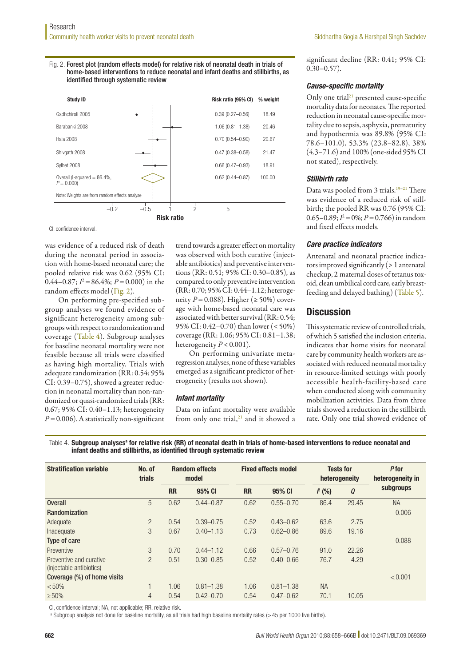#### Fig. 2. Forest plot (random effects model) for relative risk of neonatal death in trials of home-based interventions to reduce neonatal and infant deaths and stillbirths, as identified through systematic review



CI, confidence interval.

was evidence of a reduced risk of death during the neonatal period in association with home-based neonatal care; the pooled relative risk was 0.62 (95% CI: 0.44–0.87;  $I^2 = 86.4\%$ ;  $P = 0.000$ ) in the random effects model (Fig. 2).

On performing pre-specified subgroup analyses we found evidence of significant heterogeneity among subgroups with respect to randomization and coverage (Table 4). Subgroup analyses for baseline neonatal mortality were not feasible because all trials were classified as having high mortality. Trials with adequate randomization (RR: 0.54; 95% CI: 0.39–0.75), showed a greater reduction in neonatal mortality than non-randomized or quasi-randomized trials (RR: 0.67; 95% CI: 0.40–1.13; heterogeneity *P* = 0.006). A statistically non-significant

trend towards a greater effect on mortality was observed with both curative (injectable antibiotics) and preventive interventions (RR: 0.51; 95% CI: 0.30–0.85), as compared to only preventive intervention (RR: 0.70; 95% CI: 0.44–1.12; heterogeneity  $P = 0.088$ ). Higher ( $\geq 50\%$ ) coverage with home-based neonatal care was associated with better survival (RR: 0.54; 95% CI: 0.42–0.70) than lower (< 50%) coverage (RR: 1.06; 95% CI: 0.81–1.38; heterogeneity  $P < 0.001$ ).

On performing univariate metaregression analyses, none of these variables emerged as a significant predictor of heterogeneity (results not shown).

#### *Infant mortality*

Data on infant mortality were available from only one trial, $21$  and it showed a

significant decline (RR: 0.41; 95% CI:  $0.30 - 0.57$ ).

#### *Cause-specific mortality*

Only one trial<sup>21</sup> presented cause-specific mortality data for neonates. The reported reduction in neonatal cause-specific mortality due to sepsis, asphyxia, prematurity and hypothermia was 89.8% (95% CI: 78.6–101.0), 53.3% (23.8–82.8), 38% (4.3–71.6) and 100% (one-sided 95% CI not stated), respectively.

#### *Stillbirth rate*

Data was pooled from 3 trials.<sup>19-21</sup> There was evidence of a reduced risk of stillbirth; the pooled RR was 0.76 (95% CI: 0.65–0.89; *I*<sup>2</sup> = 0%; *P* = 0.766) in random and fixed effects models.

#### *Care practice indicators*

Antenatal and neonatal practice indicators improved significantly (>1 antenatal checkup, 2 maternal doses of tetanus toxoid, clean umbilical cord care, early breastfeeding and delayed bathing) (Table 5).

## **Discussion**

This systematic review of controlled trials, of which 5 satisfied the inclusion criteria, indicates that home visits for neonatal care by community health workers are associated with reduced neonatal mortality in resource-limited settings with poorly accessible health-facility-based care when conducted along with community mobilization activities. Data from three trials showed a reduction in the stillbirth rate. Only one trial showed evidence of

Table 4. Subgroup analysesª for relative risk (RR) of neonatal death in trials of home-based interventions to reduce neonatal and infant deaths and stillbirths, as identified through systematic review

| <b>Stratification variable</b>                      | No. of<br>trials |           | <b>Random effects</b><br>model |           | <b>Fixed effects model</b> |           | <b>Tests for</b><br>heterogeneity | P for<br>heterogeneity in |
|-----------------------------------------------------|------------------|-----------|--------------------------------|-----------|----------------------------|-----------|-----------------------------------|---------------------------|
|                                                     |                  | <b>RR</b> | 95% CI                         | <b>RR</b> | 95% CI                     | f'(%)     | Q                                 | subgroups                 |
| <b>Overall</b>                                      | 5                | 0.62      | $0.44 - 0.87$                  | 0.62      | $0.55 - 0.70$              | 86.4      | 29.45                             | <b>NA</b>                 |
| <b>Randomization</b>                                |                  |           |                                |           |                            |           |                                   | 0.006                     |
| Adequate                                            | $\overline{2}$   | 0.54      | $0.39 - 0.75$                  | 0.52      | $0.43 - 0.62$              | 63.6      | 2.75                              |                           |
| Inadequate                                          | 3                | 0.67      | $0.40 - 1.13$                  | 0.73      | $0.62 - 0.86$              | 89.6      | 19.16                             |                           |
| Type of care                                        |                  |           |                                |           |                            |           |                                   | 0.088                     |
| Preventive                                          | 3                | 0.70      | $0.44 - 1.12$                  | 0.66      | $0.57 - 0.76$              | 91.0      | 22.26                             |                           |
| Preventive and curative<br>(injectable antibiotics) | $\overline{2}$   | 0.51      | $0.30 - 0.85$                  | 0.52      | $0.40 - 0.66$              | 76.7      | 4.29                              |                           |
| Coverage (%) of home visits                         |                  |           |                                |           |                            |           |                                   | < 0.001                   |
| < 50%                                               |                  | 1.06      | $0.81 - 1.38$                  | 1.06      | $0.81 - 1.38$              | <b>NA</b> |                                   |                           |
| $\geq 50\%$                                         | $\overline{4}$   | 0.54      | $0.42 - 0.70$                  | 0.54      | $0.47 - 0.62$              | 70.1      | 10.05                             |                           |

CI, confidence interval; NA, not applicable; RR, relative risk.

a Subgroup analysis not done for baseline mortality, as all trials had high baseline mortality rates (> 45 per 1000 live births).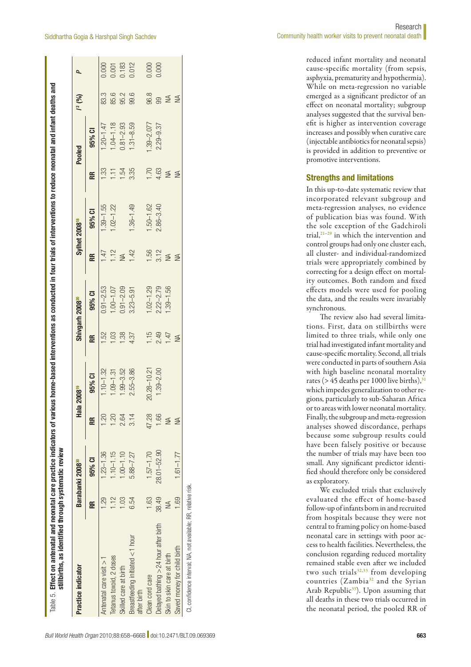| <b>Practice indicator</b>                         |               | Barabanki 2008 <sup>30</sup> |       | Hala 2008 <sup>19</sup> |                        | Shivgarh 2008 <sup>20</sup> |               | Sylhet 2008 <sup>18</sup> |                | Pooled        | $1^{2}$ (%)  |                         |
|---------------------------------------------------|---------------|------------------------------|-------|-------------------------|------------------------|-----------------------------|---------------|---------------------------|----------------|---------------|--------------|-------------------------|
|                                                   | RR            | 95% CI                       |       | 95% CI                  | RR                     | 95% CI                      | RR            | 95% CI                    | RR <sub></sub> | 95% CI        |              |                         |
| Antenatal care visit $>1$                         | 1.29          | $1.23 - 1.36$                |       | $1.10 - 1.32$           | 1.52                   | $0.91 - 2.53$               | 147           | $.39 - 1.55$              | 1.33           | $1.20 - 1.47$ | 83.3         | 0.000                   |
| Tetanus toxoid, 2 doses                           | $\frac{1}{2}$ | $1.10 - 1.15$                |       | $1.09 - 1.31$           | 1.03                   | $1.00 - 1.07$               | 1.12          | $1.02 - 1.22$             | 1.11           | $1.04 - 1.18$ | 85.6         |                         |
| Skilled care at birth                             | 1.03          | $1.00 - 1.10$                | 2.64  | 1.99-3.52               | 1.38                   | $0.91 - 2.09$               | $\leq$        |                           | 1.54           | $0.81 - 2.93$ | 95.2<br>99.6 | 0.001<br>0.183<br>0.012 |
| Breastfeeding initiated $<$ 1 hour<br>after birth | 6.54          | 5.88-7.27                    |       | $2.55 - 3.86$           | 4.37                   | $3.23 - 5.91$               | 1.42          | $.36 - 1.49$              | 3.35           | $1.31 - 8.59$ |              |                         |
| Clean cord care                                   | 1.63          | $1.57 - 1.70$                | 47.28 | $0.28 - 10.21$          |                        | $1.02 - 1.29$               | 1.56          | $.50 - 1.62$              | 1.70           | $.39 - 2.077$ | 96.8         | 0.000                   |
| Delayed bathing $>$ 24 hour after birth           | 38.49         | $28.01 - 52.90$              | 1.66  | $1.39 - 2.00$           | $1.15$<br>2.49<br>1.47 | $2.22 - 2.79$               | $3.12$<br>MA  | $0.86 - 3.40$             | 4.63           | $2.29 - 9.37$ | 99           |                         |
| Skin to skin care at birth                        |               |                              | ₹     |                         |                        | $.39 - 1.56$                |               |                           | ₹              |               | $\Sigma$     |                         |
| Saved money for child birth                       | 1.69          | $7.61 - 1.77$                | MA    |                         | $\frac{1}{2}$          |                             | $\frac{1}{2}$ |                           | ≸              |               |              |                         |

Table 5. Effect on antenatal and neonatal care practice indicators of various home-based interventions as conducted in four trials of interventions to reduce neonatal and infant deaths and

Effect on antenatal and neonatal care practice indicators of various home-based interventions as conducted in four trials of interventions to reduce neonatal and infant deaths and

reduced infant mortality and neonatal cause-specific mortality (from sepsis, asphyxia, prematurity and hypothermia). While on meta-regression no variable emerged as a significant predictor of an effect on neonatal mortality; subgroup analyses suggested that the survival benefit is higher as intervention coverage increases and possibly when curative care (injectable antibiotics for neonatal sepsis) is provided in addition to preventive or promotive interventions.

## Strengths and limitations

In this up-to-date systematic review that incorporated relevant subgroup and meta-regression analyses, no evidence of publication bias was found. With the sole exception of the Gadchiroli trial,21–29 in which the intervention and control groups had only one cluster each, all cluster- and individual-randomized trials were appropriately combined by correcting for a design effect on mortality outcomes. Both random and fixed effects models were used for pooling the data, and the results were invariably synchronous.

The review also had several limitations. First, data on stillbirths were limited to three trials, while only one trial had investigated infant mortality and cause-specific mortality. Second, all trials were conducted in parts of southern Asia with high baseline neonatal mortality rates ( $> 45$  deaths per 1000 live births), $31$ which impedes generalization to other regions, particularly to sub-Saharan Africa or to areas with lower neonatal mortality. Finally, the subgroup and meta-regression analyses showed discordance, perhaps because some subgroup results could have been falsely positive or because the number of trials may have been too small. Any significant predictor identified should therefore only be considered as exploratory.

We excluded trials that exclusively evaluated the effect of home-based follow-up of infants born in and recruited from hospitals because they were not central to framing policy on home-based neonatal care in settings with poor access to health facilities. Nevertheless, the conclusion regarding reduced mortality remained stable even after we included two such trials $32,33$  from developing countries (Zambia<sup>32</sup> and the Syrian Arab Republic<sup>33</sup>). Upon assuming that all deaths in these two trials occurred in the neonatal period, the pooled RR of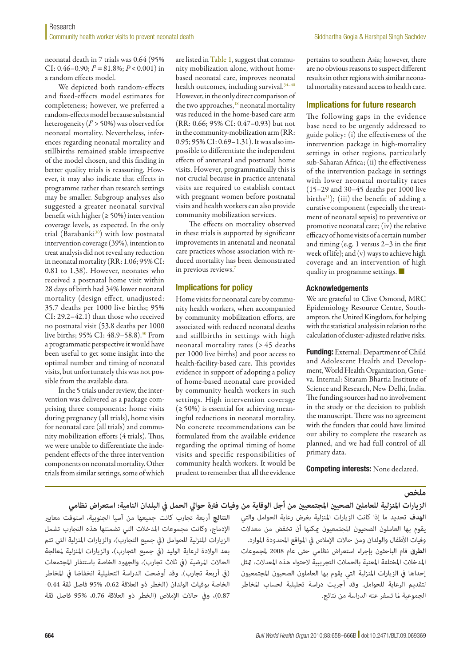neonatal death in 7 trials was 0.64 (95% CI:  $0.46 - 0.90$ ;  $I^2 = 81.8\%$ ;  $P < 0.001$ ) in a random effects model.

We depicted both random-effects and fixed-effects model estimates for completeness; however, we preferred a random-effects model because substantial heterogeneity (*I*<sup>2</sup> >50%) was observed for neonatal mortality. Nevertheless, inferences regarding neonatal mortality and stillbirths remained stable irrespective of the model chosen, and this finding in better quality trials is reassuring. However, it may also indicate that effects in programme rather than research settings may be smaller. Subgroup analyses also suggested a greater neonatal survival benefit with higher ( $\geq$  50%) intervention coverage levels, as expected. In the only trial (Barabanki<sup>30</sup>) with low postnatal intervention coverage (39%), intention to treat analysis did not reveal any reduction in neonatal mortality (RR: 1.06; 95% CI: 0.81 to 1.38). However, neonates who received a postnatal home visit within 28 days of birth had 34% lower neonatal mortality (design effect, unadjusted: 35.7 deaths per 1000 live births; 95% CI: 29.2–42.1) than those who received no postnatal visit (53.8 deaths per 1000 live births; 95% CI: 48.9–58.8).<sup>30</sup> From a programmatic perspective it would have been useful to get some insight into the optimal number and timing of neonatal visits, but unfortunately this was not possible from the available data.

In the 5 trials under review, the intervention was delivered as a package comprising three components: home visits during pregnancy (all trials), home visits for neonatal care (all trials) and community mobilization efforts (4 trials). Thus, we were unable to differentiate the independent effects of the three intervention components on neonatal mortality. Other trials from similar settings, some of which

are listed in Table 1, suggest that community mobilization alone, without homebased neonatal care, improves neonatal health outcomes, including survival.<sup>34-40</sup> However, in the only direct comparison of the two approaches,<sup>18</sup> neonatal mortality was reduced in the home-based care arm (RR: 0.66; 95% CI: 0.47–0.93) but not in the community-mobilization arm (RR: 0.95; 95% CI: 0.69–1.31). It was also impossible to differentiate the independent effects of antenatal and postnatal home visits. However, programmatically this is not crucial because in practice antenatal visits are required to establish contact with pregnant women before postnatal visits and health workers can also provide community mobilization services.

The effects on mortality observed in these trials is supported by significant improvements in antenatal and neonatal care practices whose association with reduced mortality has been demonstrated in previous reviews.7

#### Implications for policy

Home visits for neonatal care by community health workers, when accompanied by community mobilization efforts, are associated with reduced neonatal deaths and stillbirths in settings with high neonatal mortality rates (> 45 deaths per 1000 live births) and poor access to health-facility-based care. This provides evidence in support of adopting a policy of home-based neonatal care provided by community health workers in such settings. High intervention coverage  $(≥ 50%)$  is essential for achieving meaningful reductions in neonatal mortality. No concrete recommendations can be formulated from the available evidence regarding the optimal timing of home visits and specific responsibilities of community health workers. It would be prudent to remember that all the evidence

pertains to southern Asia; however, there are no obvious reasons to suspect different results in other regions with similar neonatal mortality rates and access to health care.

## Implications for future research

The following gaps in the evidence base need to be urgently addressed to guide policy: (i) the effectiveness of the intervention package in high-mortality settings in other regions, particularly sub-Saharan Africa; (ii) the effectiveness of the intervention package in settings with lower neonatal mortality rates (15–29 and 30–45 deaths per 1000 live births $31$ ); (iii) the benefit of adding a curative component (especially the treatment of neonatal sepsis) to preventive or promotive neonatal care; (iv) the relative efficacy of home visits of a certain number and timing (e.g. 1 versus 2–3 in the first week of life); and (v) ways to achieve high coverage and an intervention of high quality in programme settings. ■

#### Acknowledgements

We are grateful to Clive Osmond, MRC Epidemiology Resource Centre, Southampton, the United Kingdom, for helping with the statistical analysis in relation to the calculation of cluster-adjusted relative risks.

Funding: External: Department of Child and Adolescent Health and Development, World Health Organization, Geneva. Internal: Sitaram Bhartia Institute of Science and Research, New Delhi, India. The funding sources had no involvement in the study or the decision to publish the manuscript. There was no agreement with the funders that could have limited our ability to complete the research as planned, and we had full control of all primary data.

Competing interests: None declared.

#### **ملخص**

# **الزيارات املنزلية للعاملني الصحيني املجتمعيني من أجل الوقاية من وفيات فرتة حوايل الحمل يف البلدان النامية: استعراض نظامي**

**الهدف** تحديد ما إذا كانت الزيارات املنزلية بغرض رعاية الحوامل والتي يقوم بها العاملون الصحيون املجتمعيون ميكنها أن تخفض من معدالت وفيات الأطفال والولدان ومن حالات الإملاص في المواقع المحدودة الموارد. **الطرق** قام الباحثون بإجراء استعراض نظامي حتى عام 2008 ملجموعات املدخالت املختلفة املعنية بالحمالت التجريبية الحتواء هذه املعدالت، متثل إحداها يف الزيارات املنزلية التي يقوم بها العاملون الصحيون املجتمعيون لتقديم الرعاية للحوامل. وقد أجريت دراسة تحليلية لحساب املخاطر الجموعية ملا تسفر عنه الدراسة من نتائج.

**النتائج** أربعة تجارب كانت جميعها من آسيا الجنوبية، استوفت معايري اإلدماج، وكانت مجموعات املدخالت التي تضمنتها هذه التجارب تشمل الزيارات المنزلية للحوامل (في جميع التجارب)، والزيارات المنزلية التي تتم بعد الولادة لرعاية الوليد (في جميع التجارب)، والزيارات المنزلية لمعالجة الحالات المرضية (في ثلاث تجارب)، والجهود الخاصة باستنفار المجتمعات (في أربعة تجارب). وقد أوضحت الدراسة التحليلية انخفاضا في المخاطر الخاصة بوفيات الولدان )الخطر ذو العالقة ،0.62 95% فاصل ثقة -0.44 0.87)، وفي حالات الإملاص (الخطر ذو العلاقة 0.76، 95% فاصل ثقة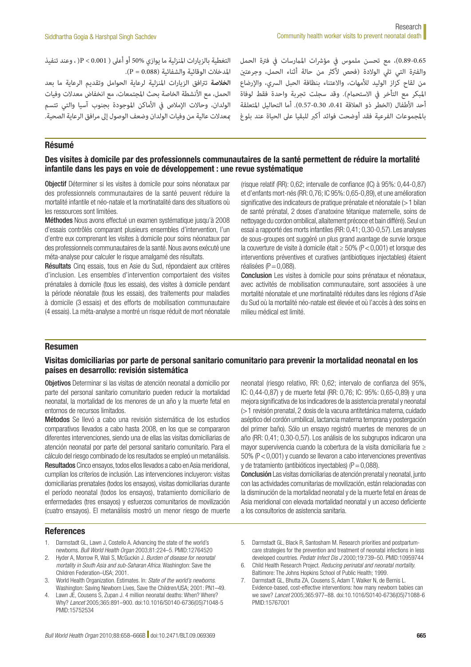التغطية بالزيارات املنزلية ما يوازي 50% أو أعىل ) 0.001 > P (، وعند تنفيذ المدخلات الوقائية والشفائية (D = 0.088).

**الخالصة** ترتافق الزيارات املنزلية لرعاية الحوامل وتقديم الرعاية ما بعد الحمل، مع الأنشطة الخاصة بحث المجتمعات، مع انخفاض معدلات وفيات الولدان، وحاالت اإلمالص يف األماكن املوجودة بجنوب آسيا والتي تتسم مبعدالت عالية من وفيات الولدان وضعف الوصول إىل مرافق الرعاية الصحية.

0.89-0.65)، مع تحسن ملموس في مؤشرات الممارسات في فترة الحمل والفترة التي تلى الولادة (فحص لأكثر من حالة أثناء الحمل، وجرعتين من لقاح كزاز الوليد للأمهات، والاعتناء بنظافة الحبل السري، والإرضاع المبكر مع التأخر في الاستحمام). وقد سجلت تجربة واحدة فقط لوفاة أحد الأطفال (الخطر ذو العلاقة 0.41، 0.30-0.57). أما التحاليل المتعلقة باملجموعات الفرعية فقد أوضحت فوائد أكرب للبقيا عىل الحياة عند بلوغ

## Résumé

## Des visites à domicile par des professionnels communautaires de la santé permettent de réduire la mortalité infantile dans les pays en voie de développement : une revue systématique

Objectif Déterminer si les visites à domicile pour soins néonataux par des professionnels communautaires de la santé peuvent réduire la mortalité infantile et néo-natale et la mortinatalité dans des situations où les ressources sont limitées.

Méthodes Nous avons effectué un examen systématique jusqu'à 2008 d'essais contrôlés comparant plusieurs ensembles d'intervention, l'un d'entre eux comprenant les visites à domicile pour soins néonataux par des professionnels communautaires de la santé. Nous avons exécuté une méta-analyse pour calculer le risque amalgamé des résultats.

Résultats Cinq essais, tous en Asie du Sud, répondaient aux critères d'inclusion. Les ensembles d'intervention comportaient des visites prénatales à domicile (tous les essais), des visites à domicile pendant la période néonatale (tous les essais), des traitements pour maladies à domicile (3 essais) et des efforts de mobilisation communautaire (4 essais). La méta-analyse a montré un risque réduit de mort néonatale

(risque relatif (RR): 0,62; intervalle de confiance (IC) à 95%: 0,44-0,87) et d'enfants mort-nés (RR: 0,76; IC 95%: 0,65-0,89), et une amélioration significative des indicateurs de pratique prénatale et néonatale (> 1 bilan de santé prénatal, 2 doses d'anatoxine tétanique maternelle, soins de nettoyage du cordon ombilical, allaitement précoce et bain différé). Seul un essai a rapporté des morts infantiles (RR: 0,41; 0,30-0,57). Les analyses de sous-groupes ont suggéré un plus grand avantage de survie lorsque la couverture de visite à domicile était ≥ 50% (P < 0,001) et lorsque des interventions préventives et curatives (antibiotiques injectables) étaient réalisées ( $P = 0.088$ ).

Conclusion Les visites à domicile pour soins prénataux et néonataux, avec activités de mobilisation communautaire, sont associées à une mortalité néonatale et une mortinatalité réduites dans les régions d'Asie du Sud où la mortalité néo-natale est élevée et où l'accès à des soins en milieu médical est limité.

#### Resumen

## Visitas domiciliarias por parte de personal sanitario comunitario para prevenir la mortalidad neonatal en los países en desarrollo: revisión sistemática

Objetivos Determinar si las visitas de atención neonatal a domicilio por parte del personal sanitario comunitario pueden reducir la mortalidad neonatal, la mortalidad de los menores de un año y la muerte fetal en entornos de recursos limitados.

Métodos Se llevó a cabo una revisión sistemática de los estudios comparativos llevados a cabo hasta 2008, en los que se compararon diferentes intervenciones, siendo una de ellas las visitas domiciliarias de atención neonatal por parte del personal sanitario comunitario. Para el cálculo del riesgo combinado de los resultados se empleó un metanálisis. Resultados Cinco ensayos, todos ellos llevados a cabo en Asia meridional, cumplían los criterios de inclusión. Las intervenciones incluyeron: visitas domiciliarias prenatales (todos los ensayos), visitas domiciliarias durante el período neonatal (todos los ensayos), tratamiento domiciliario de enfermedades (tres ensayos) y esfuerzos comunitarios de movilización (cuatro ensayos). El metanálisis mostró un menor riesgo de muerte neonatal (riesgo relativo, RR: 0,62; intervalo de confianza del 95%, IC: 0,44-0,87) y de muerte fetal (RR: 0,76; IC: 95%: 0,65-0,89) y una mejora significativa de los indicadores de la asistencia prenatal y neonatal (> 1 revisión prenatal, 2 dosis de la vacuna antitetánica materna, cuidado aséptico del cordón umbilical, lactancia materna temprana y postergación del primer baño). Sólo un ensayo registró muertes de menores de un año (RR: 0,41; 0,30-0,57). Los análisis de los subgrupos indicaron una mayor supervivencia cuando la cobertura de la visita domiciliaria fue ≥ 50% (P < 0,001) y cuando se llevaron a cabo intervenciones preventivas y de tratamiento (antibióticos inyectables) ( $P = 0.088$ ).

Conclusión Las visitas domiciliarias de atención prenatal y neonatal, junto con las actividades comunitarias de movilización, están relacionadas con la disminución de la mortalidad neonatal y de la muerte fetal en áreas de Asia meridional con elevada mortalidad neonatal y un acceso deficiente a los consultorios de asistencia sanitaria.

## References

- 1. Darmstadt GL, Lawn J, Costello A. Advancing the state of the world's newborns. *Bull World Health Organ* 2003;81:224–5. PMID[:12764520](http://www.ncbi.nlm.nih.gov/pubmed/12764520)
- 2. Hyder A, Morrow R, Wali S, McGuckin J. *Burden of disease for neonatal mortality in South Asia and sub-Saharan Africa*. Washington: Save the Children Federation–USA; 2001.
- 3. World Health Organization. Estimates. In: *State of the world's newborns*. Washington: Saving Newborn Lives, Save the Children/USA; 2001: PN1–49.
- 4. Lawn JE, Cousens S, Zupan J. 4 million neonatal deaths: When? Where? Why? *Lancet* 2005;365:891–900. doi[:10.1016/S0140-6736\(05\)71048-5](http://dx.doi.org/10.1016/S0140-6736(05)71048-5) PMID:[15752534](http://www.ncbi.nlm.nih.gov/pubmed/15752534)
- 5. Darmstadt GL, Black R, Santosham M. Research priorities and postpartumcare strategies for the prevention and treatment of neonatal infections in less developed countries. *Pediatr Infect Dis J* 2000;19:739–50. PMID:[10959744](http://www.ncbi.nlm.nih.gov/pubmed/10959744)
- 6. Child Health Research Project. *Reducing perinatal and neonatal mortality*. Baltimore: The Johns Hopkins School of Public Health; 1999.
- 7. Darmstadt GL, Bhutta ZA, Cousens S, Adam T, Walker N, de Bernis L. Evidence-based, cost-effective interventions: how many newborn babies can we save? *Lancet* 2005;365:977–88. doi:[10.1016/S0140-6736\(05\)71088-6](http://dx.doi.org/10.1016/S0140-6736(05)71088-6) PMID:[15767001](http://www.ncbi.nlm.nih.gov/pubmed/15767001)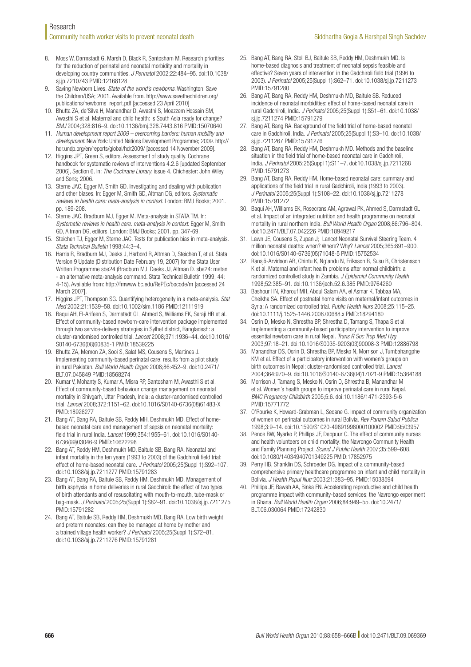Community health worker visits to prevent neonatal death Siddhartha Gogia & Harshpal Singh Sachdev Siddhartha Gogia & Harshpal Singh Sachdev

- 8. Moss W, Darmstadt G, Marsh D, Black R, Santosham M. Research priorities for the reduction of perinatal and neonatal morbidity and mortality in developing country communities. *J Perinatol* 2002;22:484–95. doi:[10.1038/](http://dx.doi.org/10.1038/sj.jp.7210743) [sj.jp.7210743](http://dx.doi.org/10.1038/sj.jp.7210743) PMID[:12168128](http://www.ncbi.nlm.nih.gov/pubmed/12168128)
- 9. Saving Newborn Lives. *State of the world's newborns*. Washington: Save the Children/USA; 2001. Available from. [http://www.savethechildren.org/](http://www.savethechildren.org/publications/newborns_report.pdf) [publications/newborns\\_report.pdf](http://www.savethechildren.org/publications/newborns_report.pdf) [accessed 23 April 2010]
- 10. Bhutta ZA, de'Silva H, Manandhar D, Awasthi S, Moazzem Hossain SM, Awasthi S et al. Maternal and child health: is South Asia ready for change? *BMJ* 2004;328:816–9. doi:[10.1136/bmj.328.7443.816](http://dx.doi.org/10.1136/bmj.328.7443.816) PMID[:15070640](http://www.ncbi.nlm.nih.gov/pubmed/15070640)
- 11. *Human development report 2009 overcoming barriers: human mobility and development*. New York: United Nations Development Programme; 2009. [http://](http://hdr.undp.org/en/reports/global/hdr2009/) [hdr.undp.org/en/reports/global/hdr2009/](http://hdr.undp.org/en/reports/global/hdr2009/) [accessed 14 November 2009].
- 12. Higgins JPT, Green S, editors. Assessment of study quality. Cochrane handbook for systematic reviews of interventions 4.2.6 [updated September 2006], Section 6. In: *The Cochrane Library*, issue 4. Chichester: John Wiley and Sons; 2006.
- 13. Sterne JAC, Egger M, Smith GD. Investigating and dealing with publication and other biases. In: Egger M, Smith GD, Altman DG, editors. *Systematic reviews in health care: meta-analysis in context*. London: BMJ Books; 2001. pp. 189-208.
- 14. Sterne JAC, Bradburn MJ, Egger M. Meta-analysis in STATA TM. In: *Systematic reviews in health care: meta-analysis in context*. Egger M, Smith GD, Altman DG, editors. London: BMJ Books; 2001. pp. 347-69.
- 15. Steichen TJ, Egger M, Sterne JAC. Tests for publication bias in meta-analysis. *Stata Technical Bulletin* 1998;44:3–4.
- 16. Harris R, Bradburn MJ, Deeks J, Harbord R, Altman D, Steichen T, et al. Stata Version 9 Update (Distribution Date February 19, 2007) for the Stata User Written Programme sbe24 (Bradburn MJ, Deeks JJ, Altman D. sbe24: metan - an alternative meta-analysis command. Stata Technical Bulletin 1999; 44: 4-15). Available from: <http://fmwww.bc.edu/RePEc/bocode/m> [accessed 24 March 2007].
- 17. Higgins JPT, Thompson SG. Quantifying heterogeneity in a meta-analysis. *Stat Med* 2002;21:1539–58. doi[:10.1002/sim.1186](http://dx.doi.org/10.1002/sim.1186) PMID:[12111919](http://www.ncbi.nlm.nih.gov/pubmed/12111919)
- 18. Baqui AH, El-Arifeen S, Darmstadt GL, Ahmed S, Williams EK, Seraji HR et al. Effect of community-based newborn-care intervention package implemented through two service-delivery strategies in Sylhet district, Bangladesh: a cluster-randomised controlled trial. *Lancet* 2008;371:1936–44. doi[:10.1016/](http://dx.doi.org/10.1016/S0140-6736(08)60835-1) [S0140-6736\(08\)60835-1](http://dx.doi.org/10.1016/S0140-6736(08)60835-1) PMID:[18539225](http://www.ncbi.nlm.nih.gov/pubmed/18539225)
- 19. Bhutta ZA, Memon ZA, Sooi S, Salat MS, Cousens S, Martines J. Implementing community-based perinatal care: results from a pilot study in rural Pakistan. *Bull World Health Organ* 2008;86:452–9. doi:[10.2471/](http://dx.doi.org/10.2471/BLT.07.045849) [BLT.07.045849](http://dx.doi.org/10.2471/BLT.07.045849) PMID:[18568274](http://www.ncbi.nlm.nih.gov/pubmed/18568274)
- 20. Kumar V, Mohanty S, Kumar A, Misra RP, Santosham M, Awasthi S et al. Effect of community-based behaviour change management on neonatal mortality in Shivgarh, Uttar Pradesh, India: a cluster-randomised controlled trial. *Lancet* 2008;372:1151–62. doi[:10.1016/S0140-6736\(08\)61483-X](http://dx.doi.org/10.1016/S0140-6736(08)61483-X)  PMID:[18926277](http://www.ncbi.nlm.nih.gov/pubmed/18926277)
- 21. Bang AT, Bang RA, Baitule SB, Reddy MH, Deshmukh MD. Effect of homebased neonatal care and management of sepsis on neonatal mortality: field trial in rural India. *Lancet* 1999;354:1955–61. doi[:10.1016/S0140-](http://dx.doi.org/10.1016/S0140-6736(99)03046-9) [6736\(99\)03046-9](http://dx.doi.org/10.1016/S0140-6736(99)03046-9) PMID[:10622298](http://www.ncbi.nlm.nih.gov/pubmed/10622298)
- 22. Bang AT, Reddy HM, Deshmukh MD, Baitule SB, Bang RA. Neonatal and infant mortality in the ten years (1993 to 2003) of the Gadchiroli field trial: effect of home-based neonatal care. *J Perinatol* 2005;25(Suppl 1):S92–107. doi[:10.1038/sj.jp.7211277](http://dx.doi.org/10.1038/sj.jp.7211277) PMID:[15791283](http://www.ncbi.nlm.nih.gov/pubmed/15791283)
- 23. Bang AT, Bang RA, Baitule SB, Reddy HM, Deshmukh MD. Management of birth asphyxia in home deliveries in rural Gadchiroli: the effect of two types of birth attendants and of resuscitating with mouth-to-mouth, tube-mask or bag-mask. *J Perinatol* 2005;25(Suppl 1):S82–91. doi:[10.1038/sj.jp.7211275](http://dx.doi.org/10.1038/sj.jp.7211275) PMID:[15791282](http://www.ncbi.nlm.nih.gov/pubmed/15791282)
- 24. Bang AT, Baitule SB, Reddy HM, Deshmukh MD, Bang RA. Low birth weight and preterm neonates: can they be managed at home by mother and a trained village health worker? *J Perinatol* 2005;25(Suppl 1):S72–81. doi[:10.1038/sj.jp.7211276](http://dx.doi.org/10.1038/sj.jp.7211276) PMID:[15791281](http://www.ncbi.nlm.nih.gov/pubmed/15791281)
- 25. Bang AT, Bang RA, Stoll BJ, Baitule SB, Reddy HM, Deshmukh MD. Is home-based diagnosis and treatment of neonatal sepsis feasible and effective? Seven years of intervention in the Gadchiroli field trial (1996 to 2003). *J Perinatol* 2005;25(Suppl 1):S62–71. doi:[10.1038/sj.jp.7211273](http://dx.doi.org/10.1038/sj.jp.7211273) PMID:[15791280](http://www.ncbi.nlm.nih.gov/pubmed/15791280)
- 26. Bang AT, Bang RA, Reddy HM, Deshmukh MD, Baitule SB. Reduced incidence of neonatal morbidities: effect of home-based neonatal care in rural Gadchiroli, India. *J Perinatol* 2005;25(Suppl 1):S51–61. doi[:10.1038/](http://dx.doi.org/10.1038/sj.jp.7211274) [sj.jp.7211274](http://dx.doi.org/10.1038/sj.jp.7211274) PMID[:15791279](http://www.ncbi.nlm.nih.gov/pubmed/15791279)
- 27. Bang AT, Bang RA. Background of the field trial of home-based neonatal care in Gadchiroli, India. *J Perinatol* 2005;25(Suppl 1):S3–10. doi:[10.1038/](http://dx.doi.org/10.1038/sj.jp.7211267) [sj.jp.7211267](http://dx.doi.org/10.1038/sj.jp.7211267) PMID[:15791276](http://www.ncbi.nlm.nih.gov/pubmed/15791276)
- 28. Bang AT, Bang RA, Reddy HM, Deshmukh MD. Methods and the baseline situation in the field trial of home-based neonatal care in Gadchiroli India. *J Perinatol* 2005;25(Suppl 1):S11–7. doi[:10.1038/sj.jp.7211268](http://dx.doi.org/10.1038/sj.jp.7211268)  PMID:[15791273](http://www.ncbi.nlm.nih.gov/pubmed/15791273)
- 29. Bang AT, Bang RA, Reddy HM. Home-based neonatal care: summary and applications of the field trial in rural Gadchiroli, India (1993 to 2003). *J Perinatol* 2005;25(Suppl 1):S108–22. doi:[10.1038/sj.jp.7211278](http://dx.doi.org/10.1038/sj.jp.7211278) PMID:[15791272](http://www.ncbi.nlm.nih.gov/pubmed/15791272)
- 30. Baqui AH, Williams EK, Rosecrans AM, Agrawal PK, Ahmed S, Darmstadt GL et al. Impact of an integrated nutrition and health programme on neonatal mortality in rural northern India. *Bull World Health Organ* 2008;86:796–804. doi[:10.2471/BLT.07.042226](http://dx.doi.org/10.2471/BLT.07.042226) PMID[:18949217](http://www.ncbi.nlm.nih.gov/pubmed/18949217)
- 31. Lawn JE, Cousens S, Zupan J; Lancet Neonatal Survival Steering Team. 4 million neonatal deaths: when? Where? Why? *Lancet* 2005;365:891–900. doi[:10.1016/S0140-6736\(05\)71048-5](http://dx.doi.org/10.1016/S0140-6736(05)71048-5) PMID[:15752534](http://www.ncbi.nlm.nih.gov/pubmed/15752534)
- 32. Ransjö-Arvidson AB, Chintu K, Ng'andu N, Eriksson B, Susu B, Christensson K et al. Maternal and infant health problems after normal childbirth: a randomized controlled study in Zambia. *J Epidemiol Community Health* 1998;52:385–91. doi:[10.1136/jech.52.6.385](http://dx.doi.org/10.1136/jech.52.6.385) PMID[:9764260](http://www.ncbi.nlm.nih.gov/pubmed/9764260)
- 33. Bashour HN, Kharouf MH, Abdul Salam AA, el Asmar K, Tabbaa MA, Cheikha SA. Effect of postnatal home visits on maternal/infant outcomes in Syria: A randomized controlled trial. *Public Health Nurs* 2008;25:115–25. doi[:10.1111/j.1525-1446.2008.00688.x](http://dx.doi.org/10.1111/j.1525-1446.2008.00688.x) PMID[:18294180](http://www.ncbi.nlm.nih.gov/pubmed/18294180)
- 34. Osrin D, Mesko N, Shrestha BP, Shrestha D, Tamang S, Thapa S et al. Implementing a community-based participatory intervention to improve essential newborn care in rural Nepal. *Trans R Soc Trop Med Hyg* 2003;97:18–21. doi:[10.1016/S0035-9203\(03\)90008-3](http://dx.doi.org/10.1016/S0035-9203(03)90008-3) PMID[:12886798](http://www.ncbi.nlm.nih.gov/pubmed/12886798)
- 35. Manandhar DS, Osrin D, Shrestha BP, Mesko N, Morrison J, Tumbahangphe KM et al. Effect of a participatory intervention with women's groups on birth outcomes in Nepal: cluster-randomised controlled trial. *Lancet* 2004;364:970–9. doi:[10.1016/S0140-6736\(04\)17021-9](http://dx.doi.org/10.1016/S0140-6736(04)17021-9) PMID[:15364188](http://www.ncbi.nlm.nih.gov/pubmed/15364188)
- 36. Morrison J, Tamang S, Mesko N, Osrin D, Shrestha B, Manandhar M et al. Women's health groups to improve perinatal care in rural Nepal. *BMC Pregnancy Childbirth* 2005;5:6. doi:[10.1186/1471-2393-5-6](http://dx.doi.org/10.1186/1471-2393-5-6) PMID:[15771772](http://www.ncbi.nlm.nih.gov/pubmed/15771772)
- 37. O'Rourke K, Howard-Grabman L, Seoane G. Impact of community organization of women on perinatal outcomes in rural Bolivia. *Rev Panam Salud Publica* 1998;3:9–14. doi[:10.1590/S1020-49891998000100002](http://dx.doi.org/10.1590/S1020-49891998000100002) PMID:[9503957](http://www.ncbi.nlm.nih.gov/pubmed/9503957)
- 38. Pence BW, Nyarko P, Phillips JF, Debpuur C. The effect of community nurses and health volunteers on child mortality: the Navrongo Community Health and Family Planning Project. *Scand J Public Health* 2007;35:599–608. doi[:10.1080/14034940701349225](http://dx.doi.org/10.1080/14034940701349225) PMID:[17852975](http://www.ncbi.nlm.nih.gov/pubmed/17852975)
- 39. Perry HB, Shanklin DS, Schroeder DG. Impact of a community-based comprehensive primary healthcare programme on infant and child mortality in Bolivia. *J Health Popul Nutr* 2003;21:383–95. PMID:[15038594](http://www.ncbi.nlm.nih.gov/pubmed/15038594)
- 40. Phillips JF, Bawah AA, Binka FN. Accelerating reproductive and child health programme impact with community-based services: the Navrongo experiment in Ghana. *Bull World Health Organ* 2006;84:949–55. doi:[10.2471/](http://dx.doi.org/10.2471/BLT.06.030064) [BLT.06.030064](http://dx.doi.org/10.2471/BLT.06.030064) PMID:[17242830](http://www.ncbi.nlm.nih.gov/pubmed/17242830)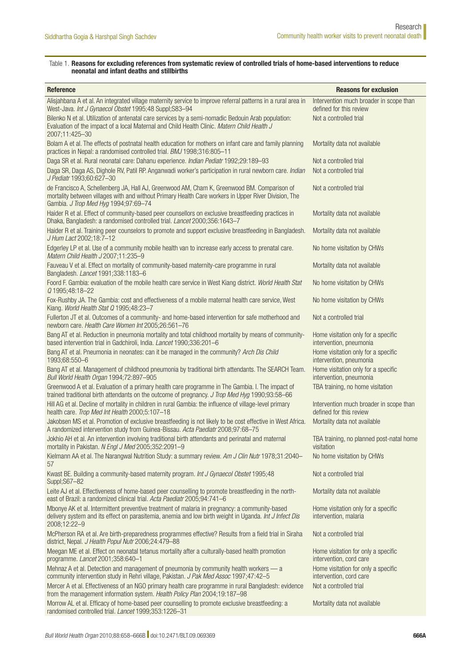#### Table 1. Reasons for excluding references from systematic review of controlled trials of home-based interventions to reduce neonatal and infant deaths and stillbirths

| <b>Reference</b>                                                                                                                                                                                                                            | <b>Reasons for exclusion</b>                                       |
|---------------------------------------------------------------------------------------------------------------------------------------------------------------------------------------------------------------------------------------------|--------------------------------------------------------------------|
| Alisjahbana A et al. An integrated village maternity service to improve referral patterns in a rural area in<br>West-Java. Int J Gynaecol Obstet 1995;48 Suppl;S83-94                                                                       | Intervention much broader in scope than<br>defined for this review |
| Bilenko N et al. Utilization of antenatal care services by a semi-nomadic Bedouin Arab population:<br>Evaluation of the impact of a local Maternal and Child Health Clinic. Matern Child Health J<br>2007;11:425-30                         | Not a controlled trial                                             |
| Bolam A et al. The effects of postnatal health education for mothers on infant care and family planning<br>practices in Nepal: a randomised controlled trial. BMJ 1998;316:805-11                                                           | Mortality data not available                                       |
| Daga SR et al. Rural neonatal care: Dahanu experience. Indian Pediatr 1992;29:189-93                                                                                                                                                        | Not a controlled trial                                             |
| Daga SR, Daga AS, Dighole RV, Patil RP. Anganwadi worker's participation in rural newborn care. Indian<br>J Pediatr 1993;60:627-30                                                                                                          | Not a controlled trial                                             |
| de Francisco A, Schellenberg JA, Hall AJ, Greenwood AM, Cham K, Greenwood BM. Comparison of<br>mortality between villages with and without Primary Health Care workers in Upper River Division, The<br>Gambia. J Trop Med Hyg 1994;97:69-74 | Not a controlled trial                                             |
| Haider R et al. Effect of community-based peer counsellors on exclusive breastfeeding practices in<br>Dhaka, Bangladesh: a randomised controlled trial. Lancet 2000;356:1643-7                                                              | Mortality data not available                                       |
| Haider R et al. Training peer counselors to promote and support exclusive breastfeeding in Bangladesh.<br>J Hum Lact 2002;18:7-12                                                                                                           | Mortality data not available                                       |
| Edgerley LP et al. Use of a community mobile health van to increase early access to prenatal care.<br>Matern Child Health J 2007;11:235-9                                                                                                   | No home visitation by CHWs                                         |
| Fauveau V et al. Effect on mortality of community-based maternity-care programme in rural<br>Bangladesh. Lancet 1991;338:1183-6                                                                                                             | Mortality data not available                                       |
| Foord F. Gambia: evaluation of the mobile health care service in West Kiang district. World Health Stat<br>Q1995;48:18-22                                                                                                                   | No home visitation by CHWs                                         |
| Fox-Rushby JA. The Gambia: cost and effectiveness of a mobile maternal health care service, West<br>Kiang. World Health Stat Q 1995;48:23-7                                                                                                 | No home visitation by CHWs                                         |
| Fullerton JT et al. Outcomes of a community- and home-based intervention for safe motherhood and<br>newborn care. Health Care Women Int 2005;26:561-76                                                                                      | Not a controlled trial                                             |
| Bang AT et al. Reduction in pneumonia mortality and total childhood mortality by means of community-<br>based intervention trial in Gadchiroli, India. Lancet 1990;336:201-6                                                                | Home visitation only for a specific<br>intervention, pneumonia     |
| Bang AT et al. Pneumonia in neonates: can it be managed in the community? Arch Dis Child<br>1993;68:550-6                                                                                                                                   | Home visitation only for a specific<br>intervention, pneumonia     |
| Bang AT et al. Management of childhood pneumonia by traditional birth attendants. The SEARCH Team.<br>Bull World Health Organ 1994;72:897-905                                                                                               | Home visitation only for a specific<br>intervention, pneumonia     |
| Greenwood A et al. Evaluation of a primary health care programme in The Gambia. I. The impact of<br>trained traditional birth attendants on the outcome of pregnancy. J Trop Med Hyg 1990;93:58-66                                          | TBA training, no home visitation                                   |
| Hill AG et al. Decline of mortality in children in rural Gambia: the influence of village-level primary<br>health care. Trop Med Int Health 2000;5:107-18                                                                                   | Intervention much broader in scope than<br>defined for this review |
| Jakobsen MS et al. Promotion of exclusive breastfeeding is not likely to be cost effective in West Africa.<br>A randomized intervention study from Guinea-Bissau. Acta Paediatr 2008;97:68-75                                               | Mortality data not available                                       |
| Jokhio AH et al. An intervention involving traditional birth attendants and perinatal and maternal<br>mortality in Pakistan. N Engl J Med 2005;352:2091-9                                                                                   | TBA training, no planned post-natal home<br>visitation             |
| Kielmann AA et al. The Narangwal Nutrition Study: a summary review. Am J Clin Nutr 1978;31:2040-<br>57                                                                                                                                      | No home visitation by CHWs                                         |
| Kwast BE. Building a community-based maternity program. Int J Gynaecol Obstet 1995;48<br>Suppl; S67-82                                                                                                                                      | Not a controlled trial                                             |
| Leite AJ et al. Effectiveness of home-based peer counselling to promote breastfeeding in the north-<br>east of Brazil: a randomized clinical trial. Acta Paediatr 2005;94:741-6                                                             | Mortality data not available                                       |
| Mbonye AK et al. Intermittent preventive treatment of malaria in pregnancy: a community-based<br>delivery system and its effect on parasitemia, anemia and low birth weight in Uganda. Int J Infect Dis<br>2008;12:22-9                     | Home visitation only for a specific<br>intervention, malaria       |
| McPherson RA et al. Are birth-preparedness programmes effective? Results from a field trial in Siraha<br>district, Nepal. J Health Popul Nutr 2006;24:479-88                                                                                | Not a controlled trial                                             |
| Meegan ME et al. Effect on neonatal tetanus mortality after a culturally-based health promotion<br>programme. Lancet 2001;358:640-1                                                                                                         | Home visitation for only a specific<br>intervention, cord care     |
| Mehnaz A et al. Detection and management of pneumonia by community health workers - a<br>community intervention study in Rehri village, Pakistan. J Pak Med Assoc 1997;47:42-5                                                              | Home visitation for only a specific<br>intervention, cord care     |
| Mercer A et al. Effectiveness of an NGO primary health care programme in rural Bangladesh: evidence<br>from the management information system. Health Policy Plan 2004;19:187-98                                                            | Not a controlled trial                                             |
| Morrow AL et al. Efficacy of home-based peer counselling to promote exclusive breastfeeding: a<br>randomised controlled trial. Lancet 1999;353:1226-31                                                                                      | Mortality data not available                                       |